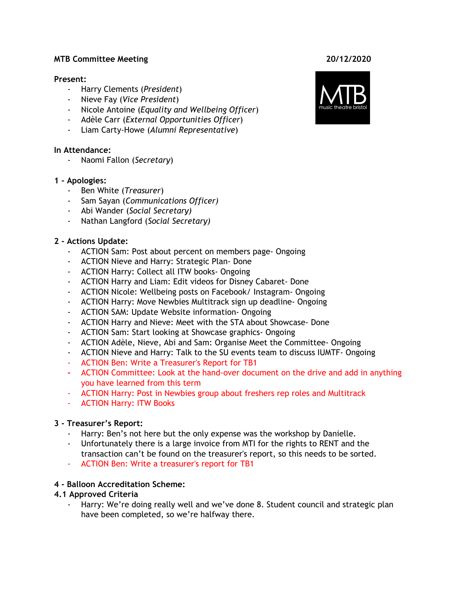#### **MTB Committee Meeting 20/12/2020**

#### **Present:**

- Harry Clements (*President*)
- Nieve Fay (*Vice President*)
- *-* Nicole Antoine (*Equality and Wellbeing Officer*)
- Adèle Carr (*External Opportunities Officer*)
- Liam Carty-Howe (*Alumni Representative*)

#### **In Attendance:**

- Naomi Fallon (*Secretary*)

#### **1 - Apologies:**

- Ben White (*Treasurer*)
- Sam Sayan (*Communications Officer)*
- Abi Wander (*Social Secretary)*
- Nathan Langford (*Social Secretary)*

#### **2 - Actions Update:**

- ACTION Sam: Post about percent on members page- Ongoing
- ACTION Nieve and Harry: Strategic Plan- Done
- ACTION Harry: Collect all ITW books- Ongoing
- ACTION Harry and Liam: Edit videos for Disney Cabaret- Done
- ACTION Nicole: Wellbeing posts on Facebook/ Instagram- Ongoing
- ACTION Harry: Move Newbies Multitrack sign up deadline- Ongoing
- ACTION SAM: Update Website information- Ongoing
- ACTION Harry and Nieve: Meet with the STA about Showcase- Done
- ACTION Sam: Start looking at Showcase graphics- Ongoing
- ACTION Adèle, Nieve, Abi and Sam: Organise Meet the Committee- Ongoing
- ACTION Nieve and Harry: Talk to the SU events team to discuss IUMTF- Ongoing
- ACTION Ben: Write a Treasurer's Report for TB1
- **-** ACTION Committee: Look at the hand-over document on the drive and add in anything you have learned from this term
- ACTION Harry: Post in Newbies group about freshers rep roles and Multitrack
- ACTION Harry: ITW Books

#### **3 - Treasurer's Report:**

- Harry: Ben's not here but the only expense was the workshop by Danielle.
- Unfortunately there is a large invoice from MTI for the rights to RENT and the transaction can't be found on the treasurer's report, so this needs to be sorted.
- ACTION Ben: Write a treasurer's report for TB1

#### **4 - Balloon Accreditation Scheme:**

#### **4.1 Approved Criteria**

Harry: We're doing really well and we've done 8. Student council and strategic plan have been completed, so we're halfway there.

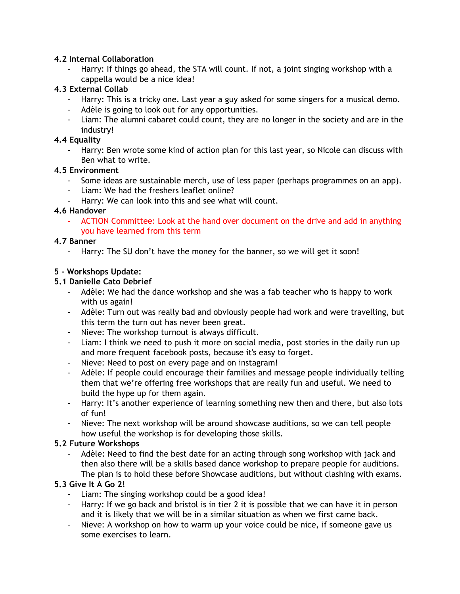#### **4.2 Internal Collaboration**

Harry: If things go ahead, the STA will count. If not, a joint singing workshop with a cappella would be a nice idea!

#### **4.3 External Collab**

- Harry: This is a tricky one. Last year a guy asked for some singers for a musical demo.
- Adèle is going to look out for any opportunities.
- Liam: The alumni cabaret could count, they are no longer in the society and are in the industry!

#### **4.4 Equality**

Harry: Ben wrote some kind of action plan for this last year, so Nicole can discuss with Ben what to write.

## **4.5 Environment**

- Some ideas are sustainable merch, use of less paper (perhaps programmes on an app).
- Liam: We had the freshers leaflet online?
- Harry: We can look into this and see what will count.

#### **4.6 Handover**

- ACTION Committee: Look at the hand over document on the drive and add in anything you have learned from this term

## **4.7 Banner**

- Harry: The SU don't have the money for the banner, so we will get it soon!

## **5 - Workshops Update:**

#### **5.1 Danielle Cato Debrief**

- Adèle: We had the dance workshop and she was a fab teacher who is happy to work with us again!
- Adèle: Turn out was really bad and obviously people had work and were travelling, but this term the turn out has never been great.
- Nieve: The workshop turnout is always difficult.
- Liam: I think we need to push it more on social media, post stories in the daily run up and more frequent facebook posts, because it's easy to forget.
- Nieve: Need to post on every page and on instagram!
- Adèle: If people could encourage their families and message people individually telling them that we're offering free workshops that are really fun and useful. We need to build the hype up for them again.
- Harry: It's another experience of learning something new then and there, but also lots of fun!
- Nieve: The next workshop will be around showcase auditions, so we can tell people how useful the workshop is for developing those skills.

# **5.2 Future Workshops**

Adèle: Need to find the best date for an acting through song workshop with jack and then also there will be a skills based dance workshop to prepare people for auditions. The plan is to hold these before Showcase auditions, but without clashing with exams.

# **5.3 Give It A Go 2!**

- Liam: The singing workshop could be a good idea!
- Harry: If we go back and bristol is in tier 2 it is possible that we can have it in person and it is likely that we will be in a similar situation as when we first came back.
- Nieve: A workshop on how to warm up your voice could be nice, if someone gave us some exercises to learn.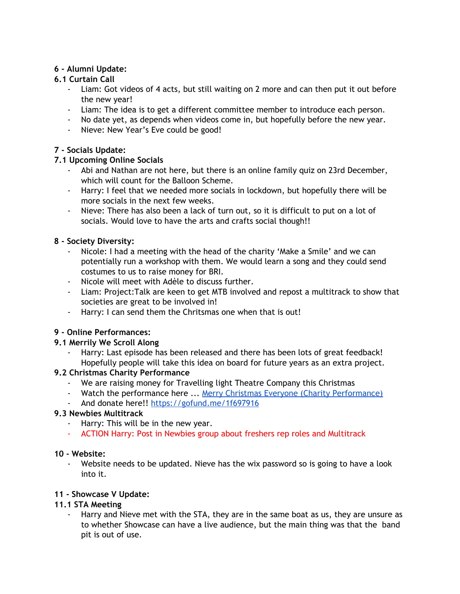#### **6 - Alumni Update:**

## **6.1 Curtain Call**

- Liam: Got videos of 4 acts, but still waiting on 2 more and can then put it out before the new year!
- Liam: The idea is to get a different committee member to introduce each person.
- No date yet, as depends when videos come in, but hopefully before the new year.
- Nieve: New Year's Eve could be good!

# **7 - Socials Update:**

## **7.1 Upcoming Online Socials**

- Abi and Nathan are not here, but there is an online family quiz on 23rd December, which will count for the Balloon Scheme.
- Harry: I feel that we needed more socials in lockdown, but hopefully there will be more socials in the next few weeks.
- Nieve: There has also been a lack of turn out, so it is difficult to put on a lot of socials. Would love to have the arts and crafts social though!!

## **8 - Society Diversity:**

- Nicole: I had a meeting with the head of the charity 'Make a Smile' and we can potentially run a workshop with them. We would learn a song and they could send costumes to us to raise money for BRI.
- Nicole will meet with Adèle to discuss further.
- Liam: Project:Talk are keen to get MTB involved and repost a multitrack to show that societies are great to be involved in!
- Harry: I can send them the Chritsmas one when that is out!

#### **9 - Online Performances:**

#### **9.1 Merrily We Scroll Along**

Harry: Last episode has been released and there has been lots of great feedback! Hopefully people will take this idea on board for future years as an extra project.

#### **9.2 Christmas Charity Performance**

- We are raising money for Travelling light Theatre Company this Christmas
- Watch the performance here ... Merry Christmas Everyone (Charity [Performance\)](https://www.youtube.com/watch?v=RVLC_W2zmd4)
- And donate here!! <https://gofund.me/1f697916>

#### **9.3 Newbies Multitrack**

- Harry: This will be in the new year.
- ACTION Harry: Post in Newbies group about freshers rep roles and Multitrack

#### **10 - Website:**

Website needs to be updated. Nieve has the wix password so is going to have a look into it.

#### **11 - Showcase V Update:**

#### **11.1 STA Meeting**

Harry and Nieve met with the STA, they are in the same boat as us, they are unsure as to whether Showcase can have a live audience, but the main thing was that the band pit is out of use.